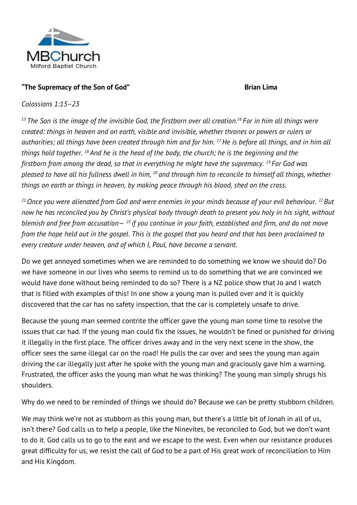

### "The Supremacy of the Son of God" **Brian Lima**

#### *Colossians 1:15–23*

*<sup>15</sup> The Son is the image of the invisible God, the firstborn over all creation.<sup>16</sup> For in him all things were created: things in heaven and on earth, visible and invisible, whether thrones or powers or rulers or authorities; all things have been created through him and for him. <sup>17</sup>He is before all things, and in him all things hold together. <sup>18</sup> And he is the head of the body, the church; he is the beginning and the firstborn from among the dead, so that in everything he might have the supremacy. <sup>19</sup> For God was pleased to have all his fullness dwell in him, <sup>20</sup> and through him to reconcile to himself all things, whether things on earth or things in heaven, by making peace through his blood, shed on the cross.*

*<sup>21</sup>Once you were alienated from God and were enemies in your minds because of your evil behaviour. <sup>22</sup> But now he has reconciled you by Christ's physical body through death to present you holy in his sight, without blemish and free from accusation— <sup>23</sup> if you continue in your faith, established and firm, and do not move from the hope held out in the gospel. This is the gospel that you heard and that has been proclaimed to every creature under heaven, and of which I, Paul, have become a servant.*

Do we get annoyed sometimes when we are reminded to do something we know we should do? Do we have someone in our lives who seems to remind us to do something that we are convinced we would have done without being reminded to do so? There is a NZ police show that Jo and I watch that is filled with examples of this! In one show a young man is pulled over and it is quickly discovered that the car has no safety inspection, that the car is completely unsafe to drive.

Because the young man seemed contrite the officer gave the young man some time to resolve the issues that car had. If the young man could fix the issues, he wouldn't be fined or punished for driving it illegally in the first place. The officer drives away and in the very next scene in the show, the officer sees the same illegal car on the road! He pulls the car over and sees the young man again driving the car illegally just after he spoke with the young man and graciously gave him a warning. Frustrated, the officer asks the young man what he was thinking? The young man simply shrugs his shoulders.

Why do we need to be reminded of things we should do? Because we can be pretty stubborn children.

We may think we're not as stubborn as this young man, but there's a little bit of Jonah in all of us, isn't there? God calls us to help a people, like the Ninevites, be reconciled to God, but we don't want to do it. God calls us to go to the east and we escape to the west. Even when our resistance produces great difficulty for us, we resist the call of God to be a part of His great work of reconciliation to Him and His Kingdom.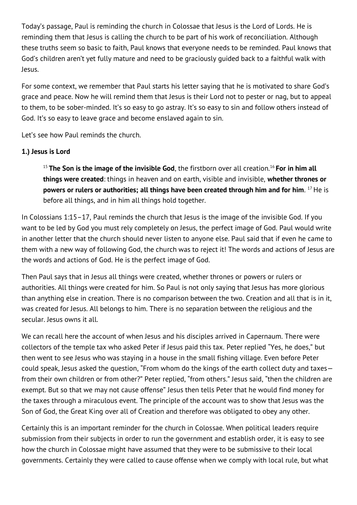Today's passage, Paul is reminding the church in Colossae that Jesus is the Lord of Lords. He is reminding them that Jesus is calling the church to be part of his work of reconciliation. Although these truths seem so basic to faith, Paul knows that everyone needs to be reminded. Paul knows that God's children aren't yet fully mature and need to be graciously guided back to a faithful walk with Jesus.

For some context, we remember that Paul starts his letter saying that he is motivated to share God's grace and peace. Now he will remind them that Jesus is their Lord not to pester or nag, but to appeal to them, to be sober-minded. It's so easy to go astray. It's so easy to sin and follow others instead of God. It's so easy to leave grace and become enslaved again to sin.

Let's see how Paul reminds the church.

#### **1.) Jesus is Lord**

<sup>15</sup> **The Son is the image of the invisible God**, the firstborn over all creation.<sup>16</sup> **For in him all things were created**: things in heaven and on earth, visible and invisible, **whether thrones or powers or rulers or authorities; all things have been created through him and for him**. <sup>17</sup>He is before all things, and in him all things hold together.

In Colossians 1:15–17, Paul reminds the church that Jesus is the image of the invisible God. If you want to be led by God you must rely completely on Jesus, the perfect image of God. Paul would write in another letter that the church should never listen to anyone else. Paul said that if even he came to them with a new way of following God, the church was to reject it! The words and actions of Jesus are the words and actions of God. He is the perfect image of God.

Then Paul says that in Jesus all things were created, whether thrones or powers or rulers or authorities. All things were created for him. So Paul is not only saying that Jesus has more glorious than anything else in creation. There is no comparison between the two. Creation and all that is in it, was created for Jesus. All belongs to him. There is no separation between the religious and the secular. Jesus owns it all.

We can recall here the account of when Jesus and his disciples arrived in Capernaum. There were collectors of the temple tax who asked Peter if Jesus paid this tax. Peter replied "Yes, he does," but then went to see Jesus who was staying in a house in the small fishing village. Even before Peter could speak, Jesus asked the question, "From whom do the kings of the earth collect duty and taxes from their own children or from other?" Peter replied, "from others." Jesus said, "then the children are exempt. But so that we may not cause offense" Jesus then tells Peter that he would find money for the taxes through a miraculous event. The principle of the account was to show that Jesus was the Son of God, the Great King over all of Creation and therefore was obligated to obey any other.

Certainly this is an important reminder for the church in Colossae. When political leaders require submission from their subjects in order to run the government and establish order, it is easy to see how the church in Colossae might have assumed that they were to be submissive to their local governments. Certainly they were called to cause offense when we comply with local rule, but what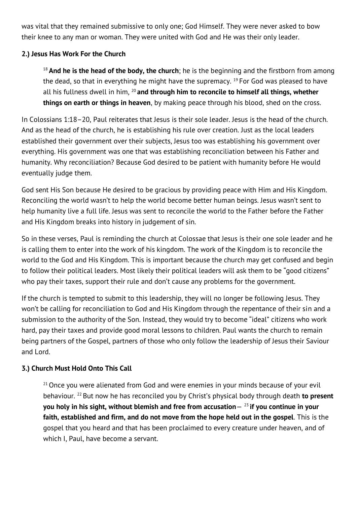was vital that they remained submissive to only one; God Himself. They were never asked to bow their knee to any man or woman. They were united with God and He was their only leader.

## **2.) Jesus Has Work For the Church**

<sup>18</sup> **And he is the head of the body, the church**; he is the beginning and the firstborn from among the dead, so that in everything he might have the supremacy.  $19$  For God was pleased to have all his fullness dwell in him, <sup>20</sup> **and through him to reconcile to himself all things, whether things on earth or things in heaven**, by making peace through his blood, shed on the cross.

In Colossians 1:18–20, Paul reiterates that Jesus is their sole leader. Jesus is the head of the church. And as the head of the church, he is establishing his rule over creation. Just as the local leaders established their government over their subjects, Jesus too was establishing his government over everything. His government was one that was establishing reconciliation between his Father and humanity. Why reconciliation? Because God desired to be patient with humanity before He would eventually judge them.

God sent His Son because He desired to be gracious by providing peace with Him and His Kingdom. Reconciling the world wasn't to help the world become better human beings. Jesus wasn't sent to help humanity live a full life. Jesus was sent to reconcile the world to the Father before the Father and His Kingdom breaks into history in judgement of sin.

So in these verses, Paul is reminding the church at Colossae that Jesus is their one sole leader and he is calling them to enter into the work of his kingdom. The work of the Kingdom is to reconcile the world to the God and His Kingdom. This is important because the church may get confused and begin to follow their political leaders. Most likely their political leaders will ask them to be "good citizens" who pay their taxes, support their rule and don't cause any problems for the government.

If the church is tempted to submit to this leadership, they will no longer be following Jesus. They won't be calling for reconciliation to God and His Kingdom through the repentance of their sin and a submission to the authority of the Son. Instead, they would try to become "ideal" citizens who work hard, pay their taxes and provide good moral lessons to children. Paul wants the church to remain being partners of the Gospel, partners of those who only follow the leadership of Jesus their Saviour and Lord.

## **3.) Church Must Hold Onto This Call**

 $21$  Once you were alienated from God and were enemies in your minds because of your evil behaviour. <sup>22</sup> But now he has reconciled you by Christ's physical body through death **to present you holy in his sight, without blemish and free from accusation**— <sup>23</sup> **if you continue in your faith, established and firm, and do not move from the hope held out in the gospel**. This is the gospel that you heard and that has been proclaimed to every creature under heaven, and of which I, Paul, have become a servant.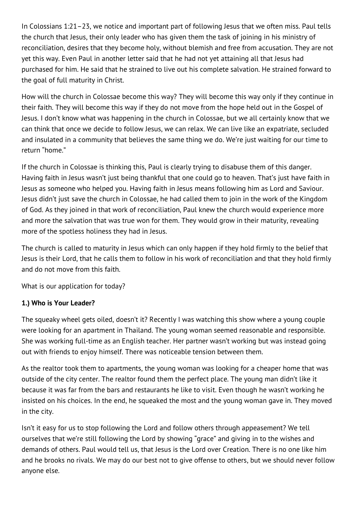In Colossians 1:21–23, we notice and important part of following Jesus that we often miss. Paul tells the church that Jesus, their only leader who has given them the task of joining in his ministry of reconciliation, desires that they become holy, without blemish and free from accusation. They are not yet this way. Even Paul in another letter said that he had not yet attaining all that Jesus had purchased for him. He said that he strained to live out his complete salvation. He strained forward to the goal of full maturity in Christ.

How will the church in Colossae become this way? They will become this way only if they continue in their faith. They will become this way if they do not move from the hope held out in the Gospel of Jesus. I don't know what was happening in the church in Colossae, but we all certainly know that we can think that once we decide to follow Jesus, we can relax. We can live like an expatriate, secluded and insulated in a community that believes the same thing we do. We're just waiting for our time to return "home."

If the church in Colossae is thinking this, Paul is clearly trying to disabuse them of this danger. Having faith in Jesus wasn't just being thankful that one could go to heaven. That's just have faith in Jesus as someone who helped you. Having faith in Jesus means following him as Lord and Saviour. Jesus didn't just save the church in Colossae, he had called them to join in the work of the Kingdom of God. As they joined in that work of reconciliation, Paul knew the church would experience more and more the salvation that was true won for them. They would grow in their maturity, revealing more of the spotless holiness they had in Jesus.

The church is called to maturity in Jesus which can only happen if they hold firmly to the belief that Jesus is their Lord, that he calls them to follow in his work of reconciliation and that they hold firmly and do not move from this faith.

What is our application for today?

## **1.) Who is Your Leader?**

The squeaky wheel gets oiled, doesn't it? Recently I was watching this show where a young couple were looking for an apartment in Thailand. The young woman seemed reasonable and responsible. She was working full-time as an English teacher. Her partner wasn't working but was instead going out with friends to enjoy himself. There was noticeable tension between them.

As the realtor took them to apartments, the young woman was looking for a cheaper home that was outside of the city center. The realtor found them the perfect place. The young man didn't like it because it was far from the bars and restaurants he like to visit. Even though he wasn't working he insisted on his choices. In the end, he squeaked the most and the young woman gave in. They moved in the city.

Isn't it easy for us to stop following the Lord and follow others through appeasement? We tell ourselves that we're still following the Lord by showing "grace" and giving in to the wishes and demands of others. Paul would tell us, that Jesus is the Lord over Creation. There is no one like him and he brooks no rivals. We may do our best not to give offense to others, but we should never follow anyone else.